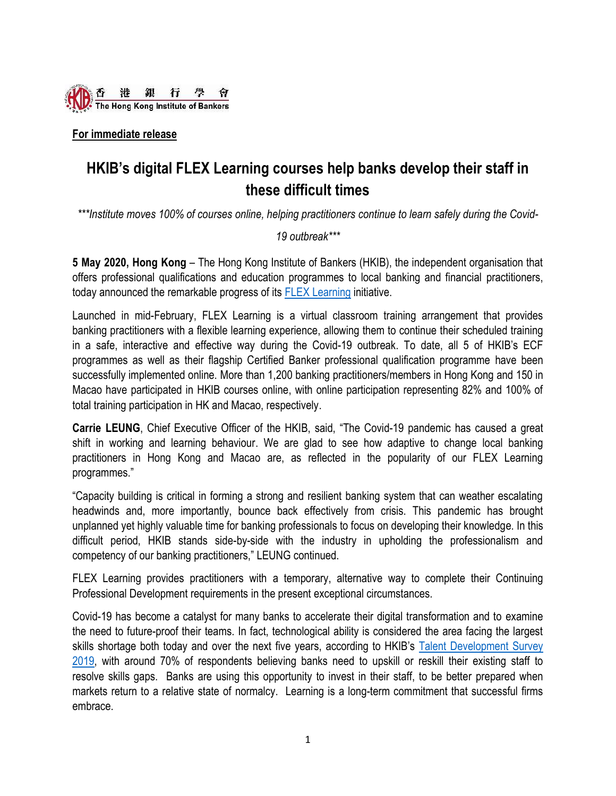

**For immediate release**

# **HKIB's digital FLEX Learning courses help banks develop their staff in these difficult times**

*\*\*\*Institute moves 100% of courses online, helping practitioners continue to learn safely during the Covid-*

*19 outbreak\*\*\**

**5 May 2020, Hong Kong** – The Hong Kong Institute of Bankers (HKIB), the independent organisation that offers professional qualifications and education programmes to local banking and financial practitioners, today announced the remarkable progress of its **FLEX [Learning](http://www.hkib.org/page/185) initiative**.

Launched in mid-February, FLEX Learning is a virtual classroom training arrangement that provides banking practitioners with a flexible learning experience, allowing them to continue their scheduled training in a safe, interactive and effective way during the Covid-19 outbreak. To date, all 5 of HKIB's ECF programmes as well as their flagship Certified Banker professional qualification programme have been successfully implemented online. More than 1,200 banking practitioners/members in Hong Kong and 150 in Macao have participated in HKIB courses online, with online participation representing 82% and 100% of total training participation in HK and Macao, respectively.

**Carrie LEUNG**, Chief Executive Officer of the HKIB, said, "The Covid-19 pandemic has caused a great shift in working and learning behaviour. We are glad to see how adaptive to change local banking practitioners in Hong Kong and Macao are, as reflected in the popularity of our FLEX Learning programmes."

"Capacity building is critical in forming a strong and resilient banking system that can weather escalating headwinds and, more importantly, bounce back effectively from crisis. This pandemic has brought unplanned yet highly valuable time for banking professionals to focus on developing their knowledge. In this difficult period, HKIB stands side-by-side with the industry in upholding the professionalism and competency of our banking practitioners," LEUNG continued.

FLEX Learning provides practitioners with a temporary, alternative way to complete their Continuing Professional Development requirements in the present exceptional circumstances.

Covid-19 has become a catalyst for many banks to accelerate their digital transformation and to examine the need to future-proof their teams. In fact, technological ability is considered the area facing the largest skills shortage both today and over the next five years, according to HKIB's Talent Development Survey [2019,](http://www.hkib.org/pdf/1587977354_HKIB%20Talent%20Survey%202019%20Full%20report.pdf) with around 70% of respondents believing banks need to upskill or reskill their existing staff to resolve skills gaps. Banks are using this opportunity to invest in their staff, to be better prepared when markets return to a relative state of normalcy. Learning is a long-term commitment that successful firms embrace.